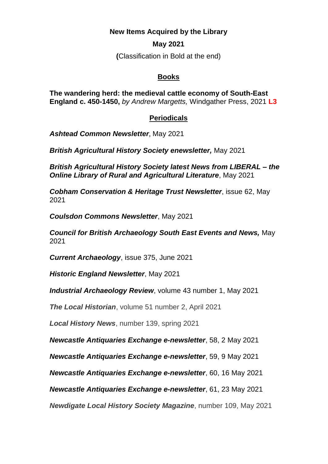**New Items Acquired by the Library**

## **May 2021**

**(**Classification in Bold at the end)

## **Books**

**The wandering herd: the medieval cattle economy of South-East England c. 450-1450,** *by Andrew Margetts,* Windgather Press, 2021 **L3**

## **Periodicals**

*Ashtead Common Newsletter*, May 2021

*British Agricultural History Society enewsletter,* May 2021

*British Agricultural History Society latest News from LIBERAL – the Online Library of Rural and Agricultural Literature*, May 2021

*Cobham Conservation & Heritage Trust Newsletter*, issue 62, May 2021

*Coulsdon Commons Newsletter*, May 2021

*Council for British Archaeology South East Events and News,* May 2021

*Current Archaeology*, issue 375, June 2021

*Historic England Newsletter*, May 2021

*Industrial Archaeology Review*, volume 43 number 1, May 2021

*The Local Historian*, volume 51 number 2, April 2021

*Local History News*, number 139, spring 2021

*Newcastle Antiquaries Exchange e-newsletter*, 58, 2 May 2021

*Newcastle Antiquaries Exchange e-newsletter*, 59, 9 May 2021

*Newcastle Antiquaries Exchange e-newsletter*, 60, 16 May 2021

*Newcastle Antiquaries Exchange e-newsletter*, 61, 23 May 2021

*Newdigate Local History Society Magazine*, number 109, May 2021